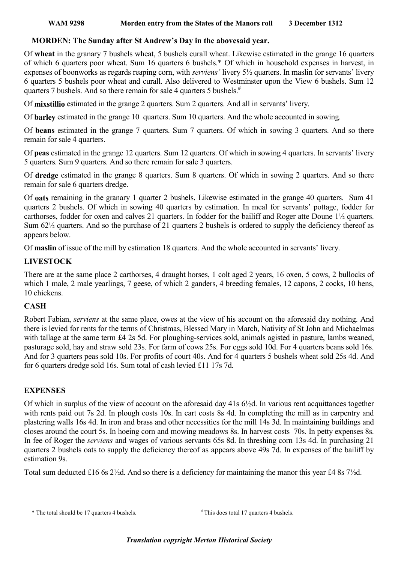#### WAM 9298 Morden entry from the States of the Manors roll 3 December 1312

## MORDEN: The Sunday after St Andrew's Day in the abovesaid year.

Of wheat in the granary 7 bushels wheat, 5 bushels curall wheat. Likewise estimated in the grange 16 quarters of which 6 quarters poor wheat. Sum 16 quarters 6 bushels.\* Of which in household expenses in harvest, in expenses of boonworks as regards reaping corn, with serviens' livery 5½ quarters. In maslin for servants' livery 6 quarters 5 bushels poor wheat and curall. Also delivered to Westminster upon the View 6 bushels. Sum 12 quarters 7 bushels. And so there remain for sale 4 quarters 5 bushels.<sup>#</sup>

Of mixstillio estimated in the grange 2 quarters. Sum 2 quarters. And all in servants' livery.

Of barley estimated in the grange 10 quarters. Sum 10 quarters. And the whole accounted in sowing.

Of beans estimated in the grange 7 quarters. Sum 7 quarters. Of which in sowing 3 quarters. And so there remain for sale 4 quarters.

Of peas estimated in the grange 12 quarters. Sum 12 quarters. Of which in sowing 4 quarters. In servants' livery 5 quarters. Sum 9 quarters. And so there remain for sale 3 quarters.

Of dredge estimated in the grange 8 quarters. Sum 8 quarters. Of which in sowing 2 quarters. And so there remain for sale 6 quarters dredge.

Of oats remaining in the granary 1 quarter 2 bushels. Likewise estimated in the grange 40 quarters. Sum 41 quarters 2 bushels. Of which in sowing 40 quarters by estimation. In meal for servants' pottage, fodder for carthorses, fodder for oxen and calves 21 quarters. In fodder for the bailiff and Roger atte Doune 1½ quarters. Sum 62½ quarters. And so the purchase of 21 quarters 2 bushels is ordered to supply the deficiency thereof as appears below.

Of maslin of issue of the mill by estimation 18 quarters. And the whole accounted in servants' livery.

# LIVESTOCK

There are at the same place 2 carthorses, 4 draught horses, 1 colt aged 2 years, 16 oxen, 5 cows, 2 bullocks of which 1 male, 2 male yearlings, 7 geese, of which 2 ganders, 4 breeding females, 12 capons, 2 cocks, 10 hens, 10 chickens.

# **CASH**

Robert Fabian, serviens at the same place, owes at the view of his account on the aforesaid day nothing. And there is levied for rents for the terms of Christmas, Blessed Mary in March, Nativity of St John and Michaelmas with tallage at the same term £4 2s 5d. For ploughing-services sold, animals agisted in pasture, lambs weaned, pasturage sold, hay and straw sold 23s. For farm of cows 25s. For eggs sold 10d. For 4 quarters beans sold 16s. And for 3 quarters peas sold 10s. For profits of court 40s. And for 4 quarters 5 bushels wheat sold 25s 4d. And for 6 quarters dredge sold 16s. Sum total of cash levied £11 17s 7d.

### **EXPENSES**

Of which in surplus of the view of account on the aforesaid day 41s 6½d. In various rent acquittances together with rents paid out 7s 2d. In plough costs 10s. In cart costs 8s 4d. In completing the mill as in carpentry and plastering walls 16s 4d. In iron and brass and other necessities for the mill 14s 3d. In maintaining buildings and closes around the court 5s. In hoeing corn and mowing meadows 8s. In harvest costs 70s. In petty expenses 8s. In fee of Roger the serviens and wages of various servants 65s 8d. In threshing corn 13s 4d. In purchasing 21 quarters 2 bushels oats to supply the deficiency thereof as appears above 49s 7d. In expenses of the bailiff by estimation 9s.

Total sum deducted £16 6s 2½d. And so there is a deficiency for maintaining the manor this year £4 8s 7½d.

\* The total should be 17 quarters 4 bushels.  $*$  This does total 17 quarters 4 bushels.